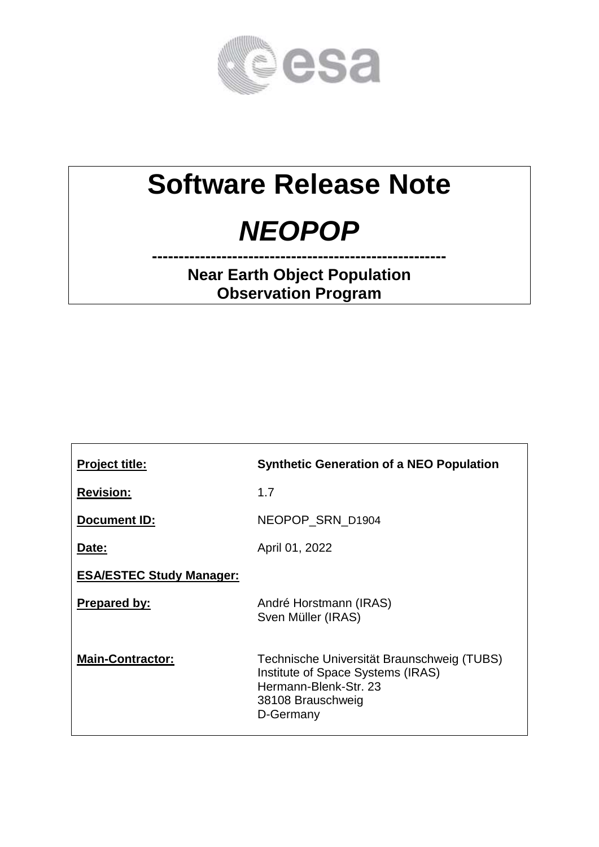

# **Software Release Note**

# *NEOPOP*

**------------------------------------------------------- Near Earth Object Population Observation Program**

| <b>Project title:</b>           | <b>Synthetic Generation of a NEO Population</b>                                                                                            |
|---------------------------------|--------------------------------------------------------------------------------------------------------------------------------------------|
| <b>Revision:</b>                | 1.7                                                                                                                                        |
| Document ID:                    | NEOPOP SRN D1904                                                                                                                           |
| Date:                           | April 01, 2022                                                                                                                             |
| <b>ESA/ESTEC Study Manager:</b> |                                                                                                                                            |
| <b>Prepared by:</b>             | André Horstmann (IRAS)<br>Sven Müller (IRAS)                                                                                               |
| <b>Main-Contractor:</b>         | Technische Universität Braunschweig (TUBS)<br>Institute of Space Systems (IRAS)<br>Hermann-Blenk-Str. 23<br>38108 Brauschweig<br>D-Germany |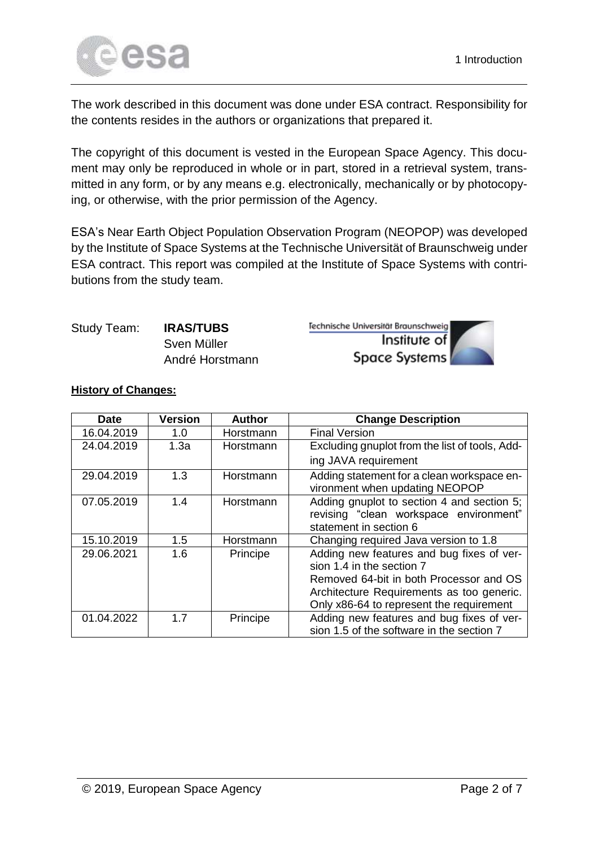

The work described in this document was done under ESA contract. Responsibility for the contents resides in the authors or organizations that prepared it.

The copyright of this document is vested in the European Space Agency. This document may only be reproduced in whole or in part, stored in a retrieval system, transmitted in any form, or by any means e.g. electronically, mechanically or by photocopying, or otherwise, with the prior permission of the Agency.

ESA's Near Earth Object Population Observation Program (NEOPOP) was developed by the Institute of Space Systems at the Technische Universität of Braunschweig under ESA contract. This report was compiled at the Institute of Space Systems with contributions from the study team.

#### Study Team: **IRAS/TUBS**

Sven Müller André Horstmann





| <b>Date</b> | <b>Version</b> | <b>Author</b> | <b>Change Description</b>                                                                                                                                                                                  |  |
|-------------|----------------|---------------|------------------------------------------------------------------------------------------------------------------------------------------------------------------------------------------------------------|--|
| 16.04.2019  | 1.0            | Horstmann     | <b>Final Version</b>                                                                                                                                                                                       |  |
| 24.04.2019  | 1.3a           | Horstmann     | Excluding gnuplot from the list of tools, Add-                                                                                                                                                             |  |
|             |                |               | ing JAVA requirement                                                                                                                                                                                       |  |
| 29.04.2019  | 1.3            | Horstmann     | Adding statement for a clean workspace en-<br>vironment when updating NEOPOP                                                                                                                               |  |
| 07.05.2019  | 1.4            | Horstmann     | Adding gnuplot to section 4 and section 5;<br>revising "clean workspace environment"<br>statement in section 6                                                                                             |  |
| 15.10.2019  | 1.5            | Horstmann     | Changing required Java version to 1.8                                                                                                                                                                      |  |
| 29.06.2021  | 1.6            | Principe      | Adding new features and bug fixes of ver-<br>sion 1.4 in the section 7<br>Removed 64-bit in both Processor and OS<br>Architecture Requirements as too generic.<br>Only x86-64 to represent the requirement |  |
| 01.04.2022  | 1.7            | Principe      | Adding new features and bug fixes of ver-<br>sion 1.5 of the software in the section 7                                                                                                                     |  |

#### **History of Changes:**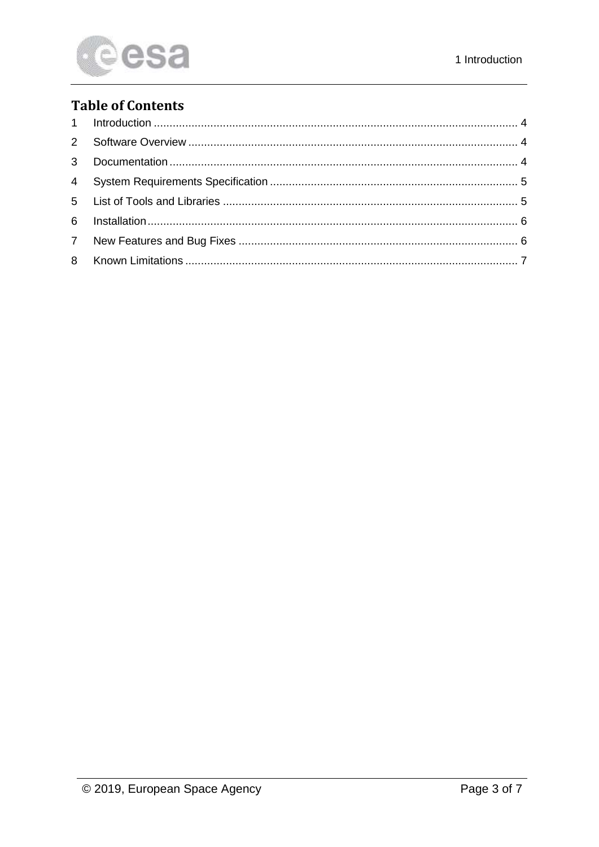

#### **Table of Contents**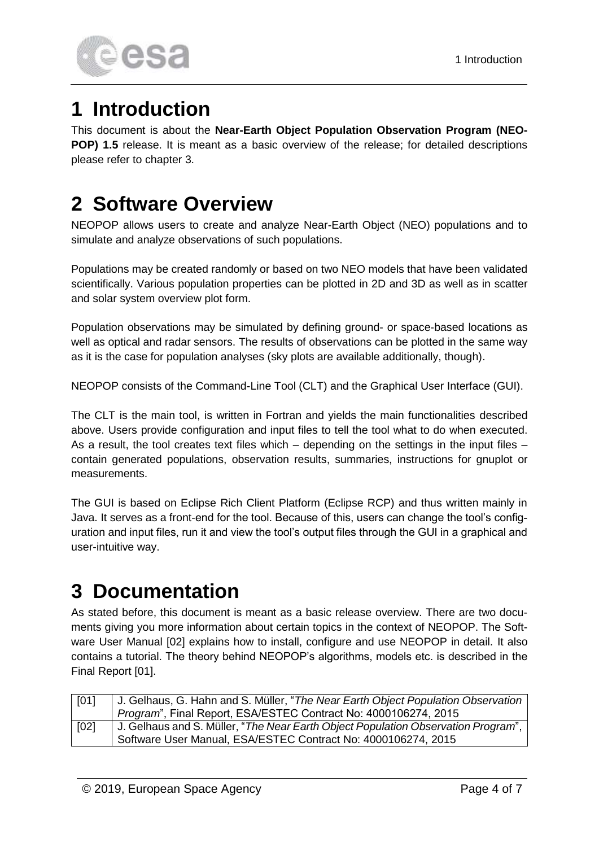

### <span id="page-3-0"></span>**1 Introduction**

This document is about the **Near-Earth Object Population Observation Program (NEO-POP) 1.5** release. It is meant as a basic overview of the release; for detailed descriptions please refer to chapter [3.](#page-3-2)

#### <span id="page-3-1"></span>**2 Software Overview**

NEOPOP allows users to create and analyze Near-Earth Object (NEO) populations and to simulate and analyze observations of such populations.

Populations may be created randomly or based on two NEO models that have been validated scientifically. Various population properties can be plotted in 2D and 3D as well as in scatter and solar system overview plot form.

Population observations may be simulated by defining ground- or space-based locations as well as optical and radar sensors. The results of observations can be plotted in the same way as it is the case for population analyses (sky plots are available additionally, though).

NEOPOP consists of the Command-Line Tool (CLT) and the Graphical User Interface (GUI).

The CLT is the main tool, is written in Fortran and yields the main functionalities described above. Users provide configuration and input files to tell the tool what to do when executed. As a result, the tool creates text files which – depending on the settings in the input files – contain generated populations, observation results, summaries, instructions for gnuplot or measurements.

The GUI is based on Eclipse Rich Client Platform (Eclipse RCP) and thus written mainly in Java. It serves as a front-end for the tool. Because of this, users can change the tool's configuration and input files, run it and view the tool's output files through the GUI in a graphical and user-intuitive way.

### <span id="page-3-2"></span>**3 Documentation**

As stated before, this document is meant as a basic release overview. There are two documents giving you more information about certain topics in the context of NEOPOP. The Software User Manual [02] explains how to install, configure and use NEOPOP in detail. It also contains a tutorial. The theory behind NEOPOP's algorithms, models etc. is described in the Final Report [01].

| [01] | J. Gelhaus, G. Hahn and S. Müller, "The Near Earth Object Population Observation  <br>Program", Final Report, ESA/ESTEC Contract No: 4000106274, 2015 |
|------|-------------------------------------------------------------------------------------------------------------------------------------------------------|
| [02] | J. Gelhaus and S. Müller, "The Near Earth Object Population Observation Program",<br>Software User Manual, ESA/ESTEC Contract No: 4000106274, 2015    |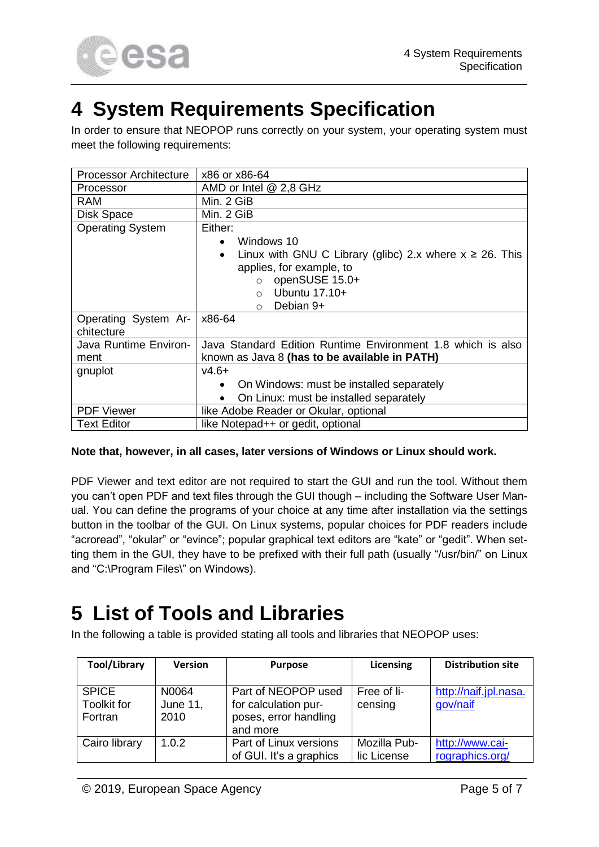

#### <span id="page-4-0"></span>**4 System Requirements Specification**

In order to ensure that NEOPOP runs correctly on your system, your operating system must meet the following requirements:

| <b>Processor Architecture</b> | x86 or x86-64                                                             |  |  |
|-------------------------------|---------------------------------------------------------------------------|--|--|
| Processor                     | AMD or Intel @ 2,8 GHz                                                    |  |  |
| <b>RAM</b>                    | Min. 2 GiB                                                                |  |  |
| Disk Space                    | Min. 2 GiB                                                                |  |  |
| <b>Operating System</b>       | Either:                                                                   |  |  |
|                               | Windows 10                                                                |  |  |
|                               | Linux with GNU C Library (glibc) 2.x where $x \ge 26$ . This<br>$\bullet$ |  |  |
|                               | applies, for example, to                                                  |  |  |
|                               | openSUSE 15.0+<br>$\Omega$                                                |  |  |
|                               | Ubuntu 17.10+<br>$\bigcap$                                                |  |  |
|                               | Debian 9+<br>$\circ$                                                      |  |  |
| Operating System Ar-          | x86-64                                                                    |  |  |
| chitecture                    |                                                                           |  |  |
| Java Runtime Environ-         | Java Standard Edition Runtime Environment 1.8 which is also               |  |  |
| ment                          | known as Java 8 (has to be available in PATH)                             |  |  |
| gnuplot                       | $v4.6+$                                                                   |  |  |
|                               | On Windows: must be installed separately                                  |  |  |
|                               | On Linux: must be installed separately                                    |  |  |
| <b>PDF Viewer</b>             | like Adobe Reader or Okular, optional                                     |  |  |
| <b>Text Editor</b>            | like Notepad++ or gedit, optional                                         |  |  |

#### **Note that, however, in all cases, later versions of Windows or Linux should work.**

PDF Viewer and text editor are not required to start the GUI and run the tool. Without them you can't open PDF and text files through the GUI though – including the Software User Manual. You can define the programs of your choice at any time after installation via the settings button in the toolbar of the GUI. On Linux systems, popular choices for PDF readers include "acroread", "okular" or "evince"; popular graphical text editors are "kate" or "gedit". When setting them in the GUI, they have to be prefixed with their full path (usually "/usr/bin/" on Linux and "C:\Program Files\" on Windows).

### <span id="page-4-1"></span>**5 List of Tools and Libraries**

In the following a table is provided stating all tools and libraries that NEOPOP uses:

| <b>Tool/Library</b> | <b>Version</b> | <b>Purpose</b>          | <b>Licensing</b> | <b>Distribution site</b> |
|---------------------|----------------|-------------------------|------------------|--------------------------|
|                     |                |                         |                  |                          |
| <b>SPICE</b>        | N0064          | Part of NEOPOP used     | Free of li-      | http://naif.jpl.nasa.    |
| <b>Toolkit for</b>  | June 11,       | for calculation pur-    | censing          | gov/naif                 |
| Fortran             | 2010           | poses, error handling   |                  |                          |
|                     |                | and more                |                  |                          |
| Cairo library       | 1.0.2          | Part of Linux versions  | Mozilla Pub-     | http://www.cai-          |
|                     |                | of GUI. It's a graphics | lic License      | rographics.org/          |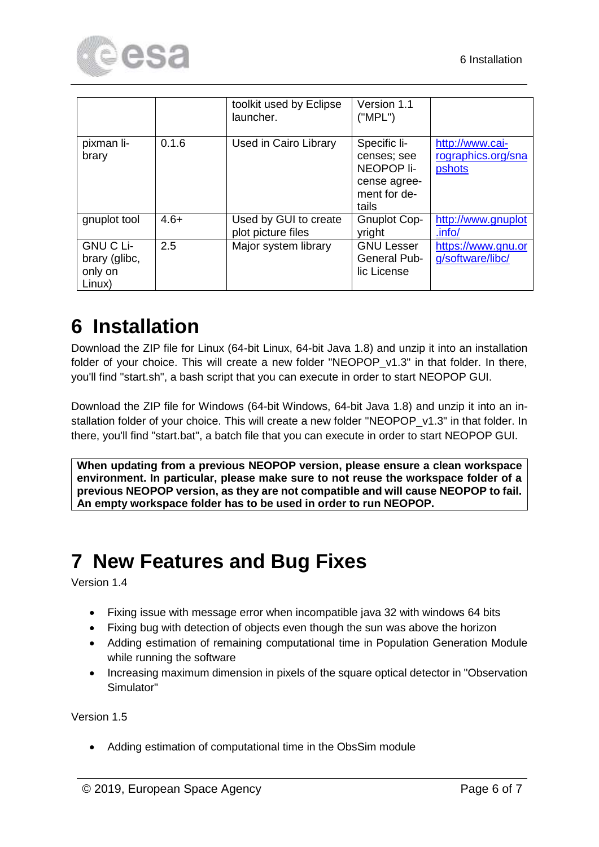

|                                                        |        | toolkit used by Eclipse<br>launcher.        | Version 1.1<br>("MPL")                                                             |                                                 |
|--------------------------------------------------------|--------|---------------------------------------------|------------------------------------------------------------------------------------|-------------------------------------------------|
| pixman li-<br>brary                                    | 0.1.6  | Used in Cairo Library                       | Specific li-<br>censes; see<br>NEOPOP li-<br>cense agree-<br>ment for de-<br>tails | http://www.cai-<br>rographics.org/sna<br>pshots |
| gnuplot tool                                           | $4.6+$ | Used by GUI to create<br>plot picture files | <b>Gnuplot Cop-</b><br>yright                                                      | http://www.gnuplot<br>$\int$ info.              |
| <b>GNU C Li-</b><br>brary (glibc,<br>only on<br>Linux) | 2.5    | Major system library                        | <b>GNU Lesser</b><br><b>General Pub-</b><br>lic License                            | https://www.gnu.or<br>g/software/libc/          |

### <span id="page-5-0"></span>**6 Installation**

Download the ZIP file for Linux (64-bit Linux, 64-bit Java 1.8) and unzip it into an installation folder of your choice. This will create a new folder "NEOPOP\_v1.3" in that folder. In there, you'll find "start.sh", a bash script that you can execute in order to start NEOPOP GUI.

Download the ZIP file for Windows (64-bit Windows, 64-bit Java 1.8) and unzip it into an installation folder of your choice. This will create a new folder "NEOPOP\_v1.3" in that folder. In there, you'll find "start.bat", a batch file that you can execute in order to start NEOPOP GUI.

**When updating from a previous NEOPOP version, please ensure a clean workspace environment. In particular, please make sure to not reuse the workspace folder of a previous NEOPOP version, as they are not compatible and will cause NEOPOP to fail. An empty workspace folder has to be used in order to run NEOPOP.**

### <span id="page-5-1"></span>**7 New Features and Bug Fixes**

Version 1.4

- Fixing issue with message error when incompatible java 32 with windows 64 bits
- Fixing bug with detection of objects even though the sun was above the horizon
- Adding estimation of remaining computational time in Population Generation Module while running the software
- Increasing maximum dimension in pixels of the square optical detector in "Observation Simulator"

Version 1.5

Adding estimation of computational time in the ObsSim module